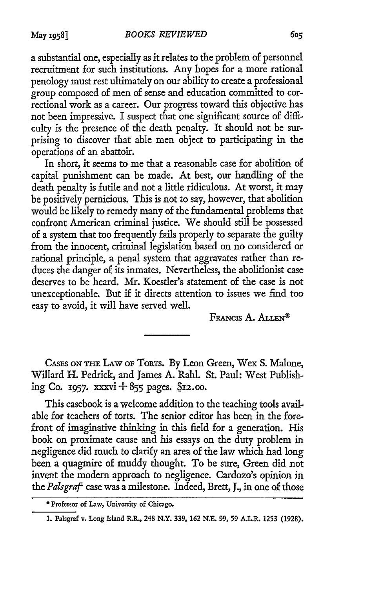a substantial one, especially as it relates to the problem of personnel recruitment for such institutions. Any hopes for a more rational penology must rest ultimately on our ability to create a professional group composed of men of sense and education committed to correctional work as a career. Our progress toward this objective has not been impressive. I suspect that one significant source of difficulty is the presence of the death penalty. It should not be surprising to discover that able men object to participating in the operations of an abattoir.

In short, it seems to me that a reasonable case for abolition of capital punishment can be made. At best, our handling of the death penalty is futile and not a little ridiculous. At worst, it may be positively pernicious. This is not to say, however, that abolition would be likely to remedy many of the fundamental problems that confront American criminal justice. We should still be possessed of a system that too frequently fails properly to separate the guilty from the innocent, criminal legislation based on no considered or rational principle, a penal system that aggravates rather than reduces the danger of its inmates. Nevertheless, the abolitionist case deserves to be heard. Mr. Koestler's statement of the case is not unexceptionable. But if it directs attention to issues we find too easy to avoid, it will have served well.<br>FRANCIS A. ALLEN<sup>\*</sup>

**CASES** *ON THE* LAW **OF TORTS. By** Leon Green, Wex **S.** Malone, Willard H. Pedrick, and James A. Rahl. St. Paul: West Publishing Co. **1957.** xxxvi **+** 855 pages. **\$12.oo.**

This casebook is a welcome addition to the teaching tools available for teachers of torts. The senior editor has been in the forefront of imaginative thinking in this field for a generation. His book on proximate cause and his essays on the duty problem in negligence did much to clarify an area of the law which had long been a quagmire of muddy thought. To be sure, Green did not invent the modern approach to negligence. Cardozo's opinion in *the Palsgra'* case was a milestone. Indeed, Brett, J., in one of those

**<sup>\*</sup>** Professor of Law, University of Chicago.

**<sup>1.</sup>** Palsgraf v. Long Island R.R., 248 N.Y. **339, 162 N.E. 99, 59 A.L.R. 1253 (1928).**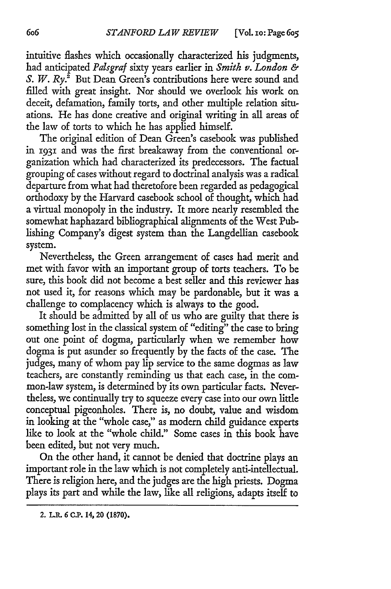intuitive flashes which occasionally characterized his judgments, had anticipated *Palsgraf* sixty years earlier in *Smith v. London &* S. W. Ry.<sup>2</sup> But Dean Green's contributions here were sound and filled with great insight. Nor should we overlook his work on deceit, defamation, family torts, and other multiple relation situations. He has done creative and original writing in all areas of the law of torts to which he has applied himself.

The original edition of Dean Green's casebook was published in **1931** and was the first breakaway from the conventional organization which had characterized its predecessors. The factual grouping of cases without regard to doctrinal analysis was a radical departure from what had theretofore been regarded as pedagogical orthodoxy by the Harvard casebook school of thought, which had a virtual monopoly in the industry. It more nearly resembled the somewhat haphazard bibliographical alignments of the West Publishing Company's digest system than the Langdellian casebook system.

Nevertheless, the Green arrangement of cases had merit and met with favor with an important group of torts teachers. To be sure, this book did not become a best seller and this reviewer has not used it, for reasons which may be pardonable, but it was a challenge to complacency which is always to the good.

It should be admitted by all of us who are guilty that there is something lost in the classical system of "editing" the case to bring out one point of dogma, particularly when we remember how dogma is put asunder so frequently by the facts of the case. The judges, many of whom pay lip service to the same dogmas as law teachers, are constantly reminding us that each case, in the common-law system, is determined by its own particular facts. Nevertheless, we continually try to squeeze every case into our own little conceptual pigeonholes. There is, no doubt, value and wisdom in looking at the "whole case," as modem child guidance experts like to look at the "whole child." Some cases in this book have been edited, but not very much.

On the other hand, it cannot be denied that doctrine plays an important role in the law which is not completely anti-intellectual. There is religion here, and the judges are the high priests. Dogma plays its part and while the law, like all religions, adapts itself to

<sup>2.</sup> L.R. 6 C.P. 14, 20 (1870).